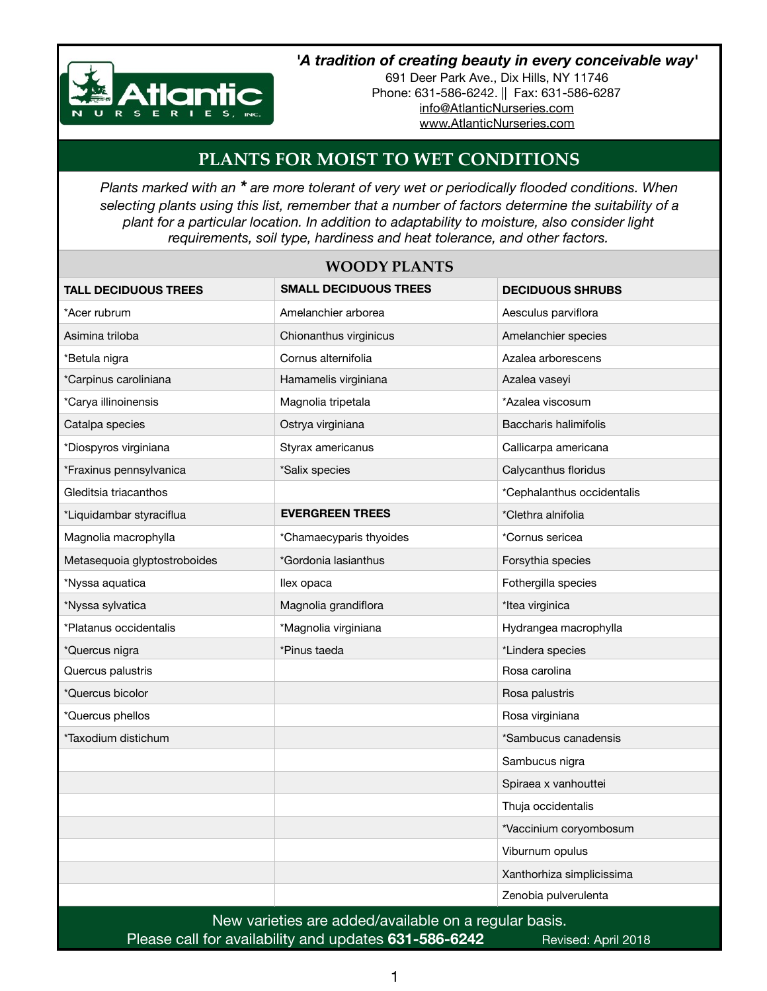

## *'A tradition of creating beauty in every conceivable way'*

691 Deer Park Ave., Dix Hills, NY 11746 Phone: 631-586-6242. || Fax: 631-586-6287 [info@AtlanticNurseries.com](mailto:info@AtlanticNurseries.com) [www.AtlanticNurseries.com](http://www.AtlanticNurseries.com)

## **PLANTS FOR MOIST TO WET CONDITIONS**

*Plants marked with an \* are more tolerant of very wet or periodically flooded conditions. When selecting plants using this list, remember that a number of factors determine the suitability of a plant for a particular location. In addition to adaptability to moisture, also consider light requirements, soil type, hardiness and heat tolerance, and other factors.*

| <b>WOODY PLANTS</b>                                   |                              |                            |  |
|-------------------------------------------------------|------------------------------|----------------------------|--|
| <b>TALL DECIDUOUS TREES</b>                           | <b>SMALL DECIDUOUS TREES</b> | <b>DECIDUOUS SHRUBS</b>    |  |
| *Acer rubrum                                          | Amelanchier arborea          | Aesculus parviflora        |  |
| Asimina triloba                                       | Chionanthus virginicus       | Amelanchier species        |  |
| *Betula nigra                                         | Cornus alternifolia          | Azalea arborescens         |  |
| *Carpinus caroliniana                                 | Hamamelis virginiana         | Azalea vaseyi              |  |
| *Carya illinoinensis                                  | Magnolia tripetala           | *Azalea viscosum           |  |
| Catalpa species                                       | Ostrya virginiana            | Baccharis halimifolis      |  |
| *Diospyros virginiana                                 | Styrax americanus            | Callicarpa americana       |  |
| *Fraxinus pennsylvanica                               | *Salix species               | Calycanthus floridus       |  |
| Gleditsia triacanthos                                 |                              | *Cephalanthus occidentalis |  |
| *Liquidambar styraciflua                              | <b>EVERGREEN TREES</b>       | *Clethra alnifolia         |  |
| Magnolia macrophylla                                  | *Chamaecyparis thyoides      | *Cornus sericea            |  |
| Metasequoia glyptostroboides                          | *Gordonia lasianthus         | Forsythia species          |  |
| *Nyssa aquatica                                       | llex opaca                   | Fothergilla species        |  |
| *Nyssa sylvatica                                      | Magnolia grandiflora         | *Itea virginica            |  |
| *Platanus occidentalis                                | *Magnolia virginiana         | Hydrangea macrophylla      |  |
| *Quercus nigra                                        | *Pinus taeda                 | *Lindera species           |  |
| Quercus palustris                                     |                              | Rosa carolina              |  |
| *Quercus bicolor                                      |                              | Rosa palustris             |  |
| *Quercus phellos                                      |                              | Rosa virginiana            |  |
| *Taxodium distichum                                   |                              | *Sambucus canadensis       |  |
|                                                       |                              | Sambucus nigra             |  |
|                                                       |                              | Spiraea x vanhouttei       |  |
|                                                       |                              | Thuja occidentalis         |  |
|                                                       |                              | *Vaccinium coryombosum     |  |
|                                                       |                              | Viburnum opulus            |  |
|                                                       |                              | Xanthorhiza simplicissima  |  |
|                                                       |                              | Zenobia pulverulenta       |  |
| New varieties are added/available on a regular basis. |                              |                            |  |